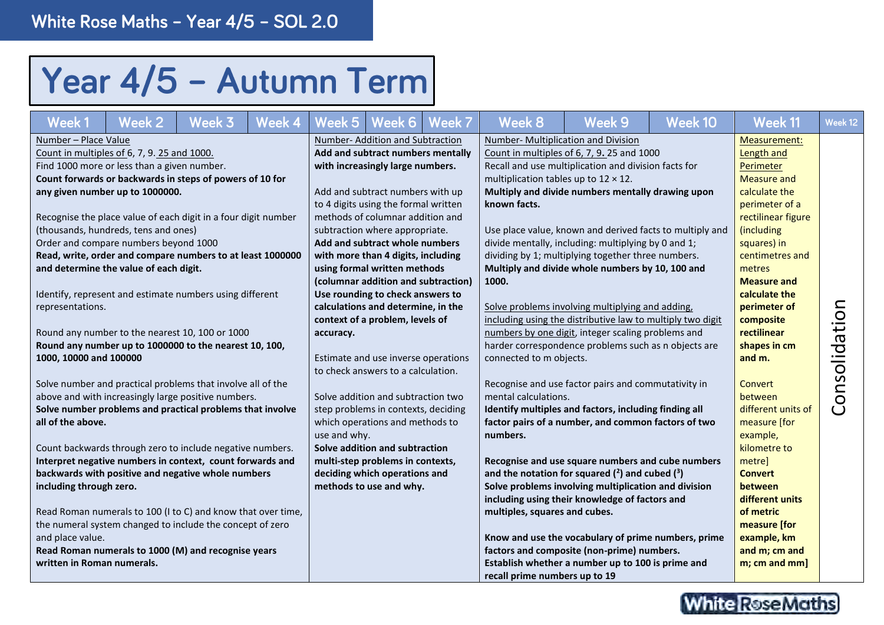## Year 4/5 - Autumn Term

| Week 1<br>Week 2<br>Week 3<br>Week 4                                                                                                                                                                                                                                                                                                                                                                                                                                                                                                                                                                                                                                                                                                                                                                                                                                                                                                                                                                                                                                                                                                                                                                                                                                                                                                                         | Week 5<br>Week 6   Week 7                                                                                                                                                                                                                                                                                                                                                                                                                                                                                                                                                                                                                                                                                                                                                                                                                                                           | Week 10<br>Week 8<br>Week 9                                                                                                                                                                                                                                                                                                                                                                                                                                                                                                                                                                                                                                                                                                                                                                                                                                                                                                                                                                                                                                                                                                                                                                                                                                                                                                                                                                                                 | Week 11                                                                                                                                                                                                                                                                                                                                                                                                                                                                                                                       | Week 12       |
|--------------------------------------------------------------------------------------------------------------------------------------------------------------------------------------------------------------------------------------------------------------------------------------------------------------------------------------------------------------------------------------------------------------------------------------------------------------------------------------------------------------------------------------------------------------------------------------------------------------------------------------------------------------------------------------------------------------------------------------------------------------------------------------------------------------------------------------------------------------------------------------------------------------------------------------------------------------------------------------------------------------------------------------------------------------------------------------------------------------------------------------------------------------------------------------------------------------------------------------------------------------------------------------------------------------------------------------------------------------|-------------------------------------------------------------------------------------------------------------------------------------------------------------------------------------------------------------------------------------------------------------------------------------------------------------------------------------------------------------------------------------------------------------------------------------------------------------------------------------------------------------------------------------------------------------------------------------------------------------------------------------------------------------------------------------------------------------------------------------------------------------------------------------------------------------------------------------------------------------------------------------|-----------------------------------------------------------------------------------------------------------------------------------------------------------------------------------------------------------------------------------------------------------------------------------------------------------------------------------------------------------------------------------------------------------------------------------------------------------------------------------------------------------------------------------------------------------------------------------------------------------------------------------------------------------------------------------------------------------------------------------------------------------------------------------------------------------------------------------------------------------------------------------------------------------------------------------------------------------------------------------------------------------------------------------------------------------------------------------------------------------------------------------------------------------------------------------------------------------------------------------------------------------------------------------------------------------------------------------------------------------------------------------------------------------------------------|-------------------------------------------------------------------------------------------------------------------------------------------------------------------------------------------------------------------------------------------------------------------------------------------------------------------------------------------------------------------------------------------------------------------------------------------------------------------------------------------------------------------------------|---------------|
| Number - Place Value<br>Count in multiples of 6, 7, 9. 25 and 1000.<br>Find 1000 more or less than a given number.<br>Count forwards or backwards in steps of powers of 10 for<br>any given number up to 1000000.<br>Recognise the place value of each digit in a four digit number<br>(thousands, hundreds, tens and ones)<br>Order and compare numbers beyond 1000<br>Read, write, order and compare numbers to at least 1000000<br>and determine the value of each digit.<br>Identify, represent and estimate numbers using different<br>representations.<br>Round any number to the nearest 10, 100 or 1000<br>Round any number up to 1000000 to the nearest 10, 100,<br>1000, 10000 and 100000<br>Solve number and practical problems that involve all of the<br>above and with increasingly large positive numbers.<br>Solve number problems and practical problems that involve<br>all of the above.<br>Count backwards through zero to include negative numbers.<br>Interpret negative numbers in context, count forwards and<br>backwards with positive and negative whole numbers<br>including through zero.<br>Read Roman numerals to 100 (I to C) and know that over time,<br>the numeral system changed to include the concept of zero<br>and place value.<br>Read Roman numerals to 1000 (M) and recognise years<br>written in Roman numerals. | Number- Addition and Subtraction<br>Add and subtract numbers mentally<br>with increasingly large numbers.<br>Add and subtract numbers with up<br>to 4 digits using the formal written<br>methods of columnar addition and<br>subtraction where appropriate.<br>Add and subtract whole numbers<br>with more than 4 digits, including<br>using formal written methods<br>(columnar addition and subtraction)<br>Use rounding to check answers to<br>calculations and determine, in the<br>context of a problem, levels of<br>accuracy.<br>Estimate and use inverse operations<br>to check answers to a calculation.<br>Solve addition and subtraction two<br>step problems in contexts, deciding<br>which operations and methods to<br>use and why.<br>Solve addition and subtraction<br>multi-step problems in contexts,<br>deciding which operations and<br>methods to use and why. | Number- Multiplication and Division<br>Count in multiples of 6, 7, 9. 25 and 1000<br>Recall and use multiplication and division facts for<br>multiplication tables up to $12 \times 12$ .<br>Multiply and divide numbers mentally drawing upon<br>known facts.<br>Use place value, known and derived facts to multiply and<br>divide mentally, including: multiplying by 0 and 1;<br>dividing by 1; multiplying together three numbers.<br>Multiply and divide whole numbers by 10, 100 and<br>1000.<br>Solve problems involving multiplying and adding,<br>including using the distributive law to multiply two digit<br>numbers by one digit, integer scaling problems and<br>harder correspondence problems such as n objects are<br>connected to m objects.<br>Recognise and use factor pairs and commutativity in<br>mental calculations.<br>Identify multiples and factors, including finding all<br>factor pairs of a number, and common factors of two<br>numbers.<br>Recognise and use square numbers and cube numbers<br>and the notation for squared $(2)$ and cubed $(3)$<br>Solve problems involving multiplication and division<br>including using their knowledge of factors and<br>multiples, squares and cubes.<br>Know and use the vocabulary of prime numbers, prime<br>factors and composite (non-prime) numbers.<br>Establish whether a number up to 100 is prime and<br>recall prime numbers up to 19 | Measurement:<br>Length and<br><b>Perimeter</b><br>Measure and<br>calculate the<br>perimeter of a<br>rectilinear figure<br>(including<br>squares) in<br>centimetres and<br>metres<br><b>Measure and</b><br>calculate the<br>perimeter of<br>composite<br>rectilinear<br>shapes in cm<br>and m.<br>Convert<br>between<br>different units of<br>measure [for<br>example,<br>kilometre to<br>metre]<br><b>Convert</b><br>between<br>different units<br>of metric<br>measure [for<br>example, km<br>and m; cm and<br>m; cm and mm] | Consolidation |

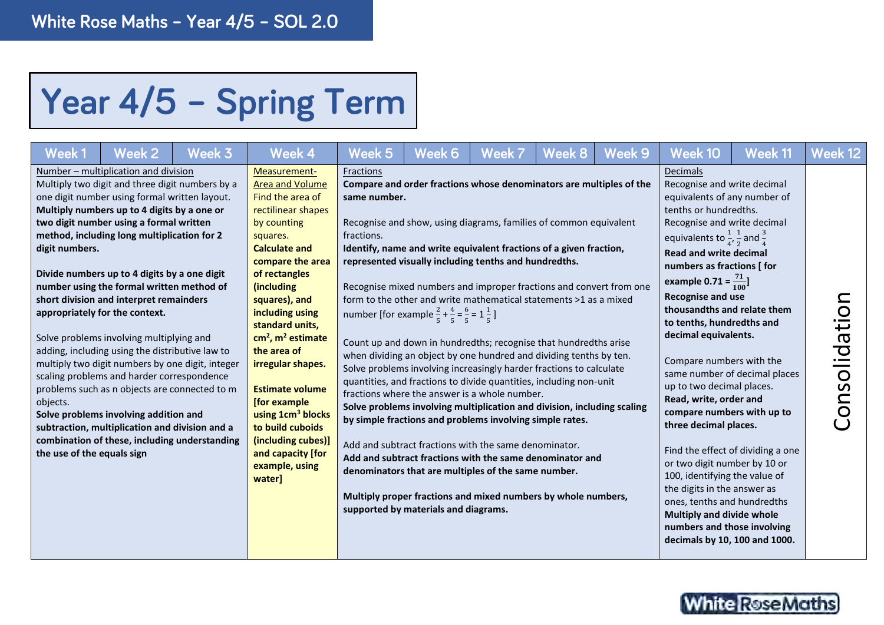## Year 4/5 - Spring Term

| Week 1                                                   | Week 2                                                                                                                                                                                                                                                                                                                                                                                                                                                                                                                                                                                                                                                                                                                                                                                                                                                    | Week 3 | Week 4                                                                                                                                                                                                                                                                                                                                                                                                                                                                                     | Week <sub>5</sub>       | Week 6                                                                                                                                                                                                                                                                                                                                                                                                                                                                                                                                                                                                                                                                                                                                                                                                                                                                                                                                                                                                                                                                                                                                                                                                                                                                                    | Week 7 | Week 8 | Week 9 | Week 10                                                                                                                                                                                                                                                                                                                                                                                                                                                                                                                                                                                                                                                                                                                                                                                            | <b>Week 11</b>                                                     | Week 12     |
|----------------------------------------------------------|-----------------------------------------------------------------------------------------------------------------------------------------------------------------------------------------------------------------------------------------------------------------------------------------------------------------------------------------------------------------------------------------------------------------------------------------------------------------------------------------------------------------------------------------------------------------------------------------------------------------------------------------------------------------------------------------------------------------------------------------------------------------------------------------------------------------------------------------------------------|--------|--------------------------------------------------------------------------------------------------------------------------------------------------------------------------------------------------------------------------------------------------------------------------------------------------------------------------------------------------------------------------------------------------------------------------------------------------------------------------------------------|-------------------------|-------------------------------------------------------------------------------------------------------------------------------------------------------------------------------------------------------------------------------------------------------------------------------------------------------------------------------------------------------------------------------------------------------------------------------------------------------------------------------------------------------------------------------------------------------------------------------------------------------------------------------------------------------------------------------------------------------------------------------------------------------------------------------------------------------------------------------------------------------------------------------------------------------------------------------------------------------------------------------------------------------------------------------------------------------------------------------------------------------------------------------------------------------------------------------------------------------------------------------------------------------------------------------------------|--------|--------|--------|----------------------------------------------------------------------------------------------------------------------------------------------------------------------------------------------------------------------------------------------------------------------------------------------------------------------------------------------------------------------------------------------------------------------------------------------------------------------------------------------------------------------------------------------------------------------------------------------------------------------------------------------------------------------------------------------------------------------------------------------------------------------------------------------------|--------------------------------------------------------------------|-------------|
| digit numbers.<br>objects.<br>the use of the equals sign | Number - multiplication and division<br>Multiply two digit and three digit numbers by a<br>one digit number using formal written layout.<br>Multiply numbers up to 4 digits by a one or<br>two digit number using a formal written<br>method, including long multiplication for 2<br>Divide numbers up to 4 digits by a one digit<br>number using the formal written method of<br>short division and interpret remainders<br>appropriately for the context.<br>Solve problems involving multiplying and<br>adding, including using the distributive law to<br>multiply two digit numbers by one digit, integer<br>scaling problems and harder correspondence<br>problems such as n objects are connected to m<br>Solve problems involving addition and<br>subtraction, multiplication and division and a<br>combination of these, including understanding |        | Measurement-<br><b>Area and Volume</b><br>Find the area of<br>rectilinear shapes<br>by counting<br>squares.<br><b>Calculate and</b><br>compare the area<br>of rectangles<br>(including<br>squares), and<br>including using<br>standard units,<br>$cm2$ , m <sup>2</sup> estimate<br>the area of<br>irregular shapes.<br><b>Estimate volume</b><br>[for example<br>using 1cm <sup>3</sup> blocks<br>to build cuboids<br>(including cubes)]<br>and capacity [for<br>example, using<br>water] | Fractions<br>fractions. | Compare and order fractions whose denominators are multiples of the<br>same number.<br>Recognise and show, using diagrams, families of common equivalent<br>Identify, name and write equivalent fractions of a given fraction,<br>represented visually including tenths and hundredths.<br>Recognise mixed numbers and improper fractions and convert from one<br>form to the other and write mathematical statements >1 as a mixed<br>number [for example $\frac{2}{5} + \frac{4}{5} = \frac{6}{5} = 1\frac{1}{5}$ ]<br>Count up and down in hundredths; recognise that hundredths arise<br>when dividing an object by one hundred and dividing tenths by ten.<br>Solve problems involving increasingly harder fractions to calculate<br>quantities, and fractions to divide quantities, including non-unit<br>fractions where the answer is a whole number.<br>Solve problems involving multiplication and division, including scaling<br>by simple fractions and problems involving simple rates.<br>Add and subtract fractions with the same denominator.<br>Add and subtract fractions with the same denominator and<br>denominators that are multiples of the same number.<br>Multiply proper fractions and mixed numbers by whole numbers,<br>supported by materials and diagrams. |        |        |        | <b>Decimals</b><br>Recognise and write decimal<br>equivalents of any number of<br>tenths or hundredths.<br>Recognise and write decimal<br>equivalents to $\frac{1}{4}$ , $\frac{1}{2}$ and $\frac{3}{4}$<br><b>Read and write decimal</b><br>numbers as fractions [ for<br>example 0.71 = $\frac{71}{100}$ ]<br><b>Recognise and use</b><br>thousandths and relate them<br>to tenths, hundredths and<br>decimal equivalents.<br>Compare numbers with the<br>up to two decimal places.<br>Read, write, order and<br>compare numbers with up to<br>three decimal places.<br>or two digit number by 10 or<br>100, identifying the value of<br>the digits in the answer as<br>ones, tenths and hundredths<br>Multiply and divide whole<br>numbers and those involving<br>decimals by 10, 100 and 1000. | same number of decimal places<br>Find the effect of dividing a one | onsolidatio |